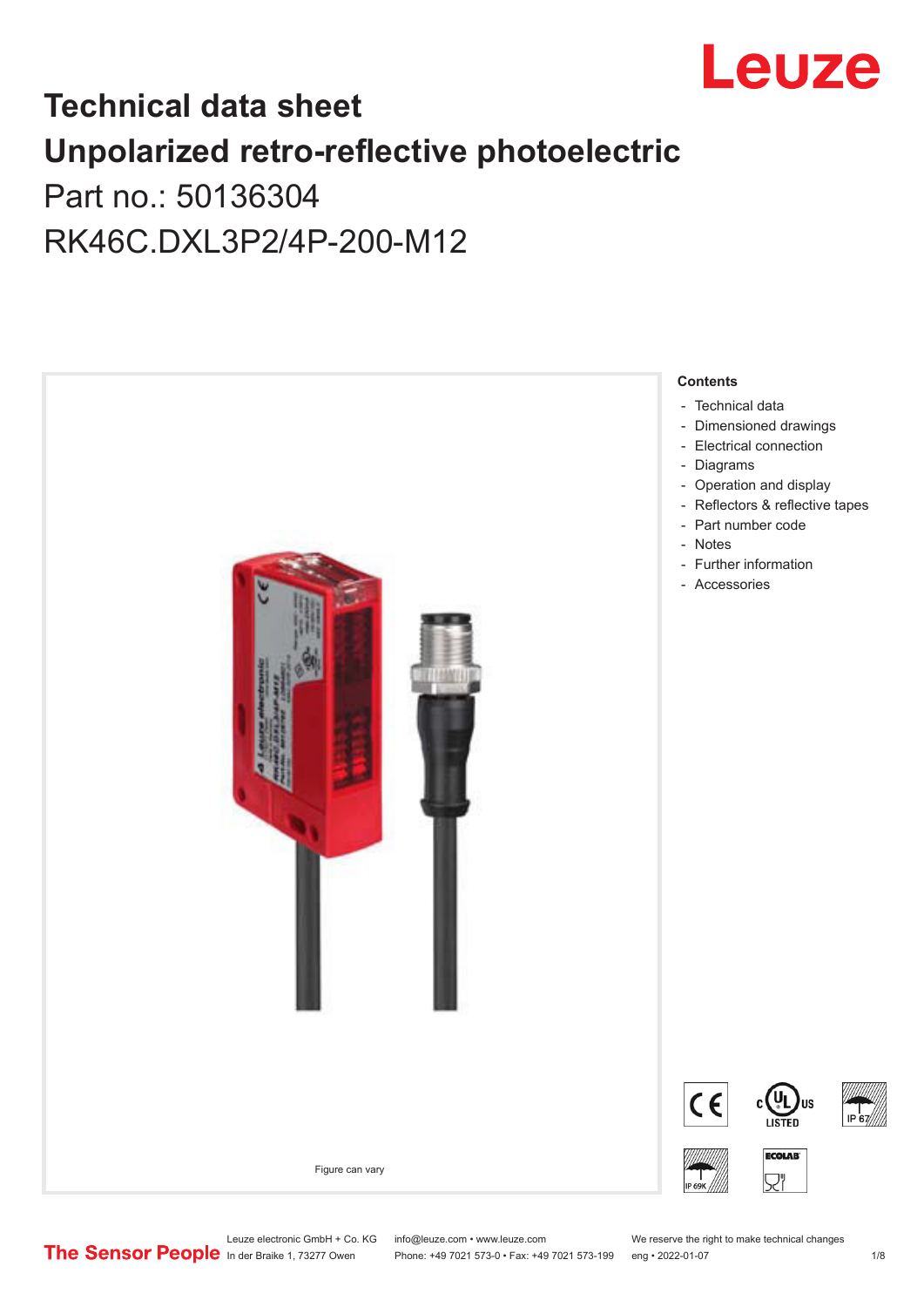

# **Technical data sheet Unpolarized retro-reflective photoelectric**

Part no.: 50136304 RK46C.DXL3P2/4P-200-M12



Leuze electronic GmbH + Co. KG info@leuze.com • www.leuze.com We reserve the right to make technical changes<br> **The Sensor People** in der Braike 1, 73277 Owen Phone: +49 7021 573-0 • Fax: +49 7021 573-199 eng • 2022-01-07

Phone: +49 7021 573-0 • Fax: +49 7021 573-199 eng • 2022-01-07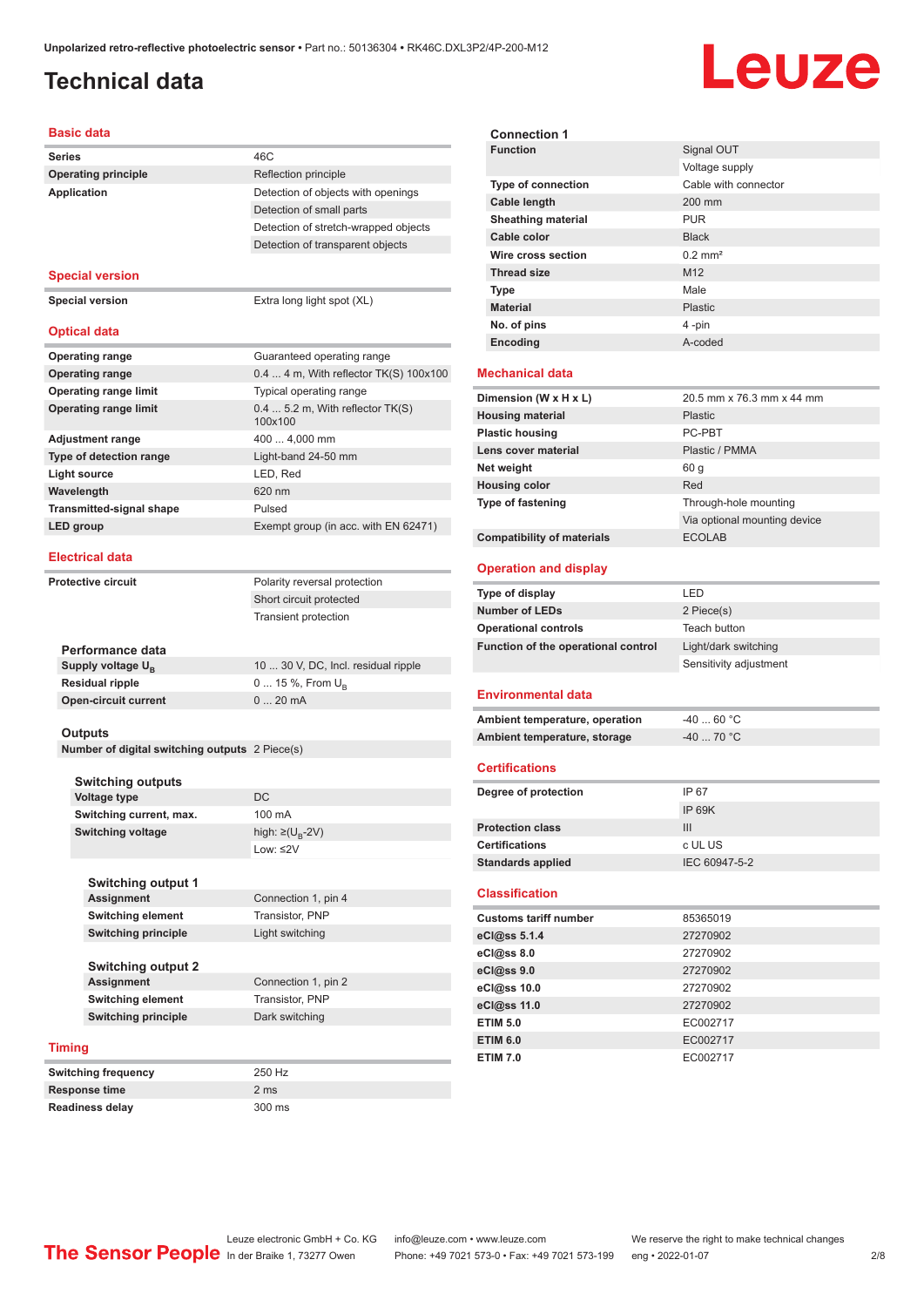# <span id="page-1-0"></span>**Technical data**

# Leuze

#### **Basic data**

| Series                   |                                                           | 46C                                         |  |
|--------------------------|-----------------------------------------------------------|---------------------------------------------|--|
|                          | <b>Operating principle</b>                                | Reflection principle                        |  |
|                          | <b>Application</b>                                        | Detection of objects with openings          |  |
|                          |                                                           | Detection of small parts                    |  |
|                          |                                                           | Detection of stretch-wrapped objects        |  |
|                          |                                                           | Detection of transparent objects            |  |
|                          |                                                           |                                             |  |
|                          | <b>Special version</b>                                    |                                             |  |
|                          | <b>Special version</b>                                    | Extra long light spot (XL)                  |  |
|                          |                                                           |                                             |  |
|                          | <b>Optical data</b>                                       |                                             |  |
|                          |                                                           |                                             |  |
|                          | <b>Operating range</b>                                    | Guaranteed operating range                  |  |
|                          | <b>Operating range</b>                                    | 0.4  4 m, With reflector TK(S) 100x100      |  |
|                          | <b>Operating range limit</b>                              | Typical operating range                     |  |
|                          | <b>Operating range limit</b>                              | $0.45.2$ m, With reflector TK(S)<br>100x100 |  |
|                          | <b>Adjustment range</b>                                   | 400  4,000 mm                               |  |
|                          | Type of detection range                                   | Light-band 24-50 mm                         |  |
|                          |                                                           |                                             |  |
|                          | <b>Light source</b>                                       | LED, Red                                    |  |
|                          | Wavelength                                                | 620 nm                                      |  |
|                          | <b>Transmitted-signal shape</b>                           | Pulsed                                      |  |
|                          | LED group                                                 | Exempt group (in acc. with EN 62471)        |  |
|                          | <b>Electrical data</b>                                    |                                             |  |
|                          |                                                           |                                             |  |
|                          | <b>Protective circuit</b>                                 | Polarity reversal protection                |  |
|                          |                                                           | Short circuit protected                     |  |
|                          |                                                           | <b>Transient protection</b>                 |  |
|                          |                                                           |                                             |  |
|                          | Performance data                                          |                                             |  |
|                          | Supply voltage U <sub>B</sub>                             | 10  30 V, DC, Incl. residual ripple         |  |
|                          | <b>Residual ripple</b>                                    | 0  15 %, From U <sub>R</sub>                |  |
|                          | <b>Open-circuit current</b>                               | 020mA                                       |  |
|                          |                                                           |                                             |  |
|                          | Outputs<br>Number of digital switching outputs 2 Piece(s) |                                             |  |
|                          |                                                           |                                             |  |
|                          | <b>Switching outputs</b>                                  |                                             |  |
|                          | <b>Voltage type</b>                                       | DC                                          |  |
|                          | Switching current, max.                                   | 100 mA                                      |  |
|                          | <b>Switching voltage</b>                                  | high: ≥( $U_B$ -2V)                         |  |
|                          |                                                           | Low: ≤2V                                    |  |
|                          |                                                           |                                             |  |
|                          | <b>Switching output 1</b>                                 |                                             |  |
|                          | <b>Assignment</b>                                         | Connection 1, pin 4                         |  |
|                          | <b>Switching element</b>                                  | Transistor, PNP                             |  |
|                          | <b>Switching principle</b>                                | Light switching                             |  |
|                          |                                                           |                                             |  |
|                          | <b>Switching output 2</b>                                 |                                             |  |
|                          | <b>Assignment</b>                                         | Connection 1, pin 2                         |  |
| <b>Switching element</b> |                                                           | Transistor, PNP                             |  |
|                          | <b>Switching principle</b>                                | Dark switching                              |  |
|                          |                                                           |                                             |  |
|                          | <b>Timing</b>                                             |                                             |  |
|                          | <b>Switching frequency</b>                                | 250 Hz                                      |  |
|                          | <b>Response time</b>                                      | 2 ms                                        |  |
|                          |                                                           | 300 ms                                      |  |
| <b>Readiness delay</b>   |                                                           |                                             |  |

| <b>Connection 1</b>                              |                              |
|--------------------------------------------------|------------------------------|
| <b>Function</b>                                  | Signal OUT                   |
|                                                  | Voltage supply               |
| <b>Type of connection</b>                        | Cable with connector         |
| Cable length                                     | 200 mm                       |
| <b>Sheathing material</b>                        | <b>PUR</b>                   |
| Cable color                                      | <b>Black</b>                 |
| Wire cross section                               | $0.2$ mm <sup>2</sup>        |
| <b>Thread size</b>                               | M <sub>12</sub>              |
| Type                                             | Male                         |
| <b>Material</b>                                  | <b>Plastic</b>               |
| No. of pins                                      | 4-pin                        |
| Encoding                                         | A-coded                      |
|                                                  |                              |
| Mechanical data                                  |                              |
| Dimension (W x H x L)                            | 20.5 mm x 76.3 mm x 44 mm    |
| <b>Housing material</b>                          | <b>Plastic</b>               |
| <b>Plastic housing</b>                           | PC-PRT                       |
| Lens cover material                              | Plastic / PMMA               |
| Net weight                                       | 60 <sub>g</sub>              |
| <b>Housing color</b>                             | Red                          |
| <b>Type of fastening</b>                         | Through-hole mounting        |
|                                                  | Via optional mounting device |
| <b>Compatibility of materials</b>                | <b>ECOLAB</b>                |
|                                                  |                              |
| <b>Operation and display</b>                     |                              |
| <b>Type of display</b>                           | LED                          |
| <b>Number of LEDs</b>                            | 2 Piece(s)                   |
|                                                  |                              |
| <b>Operational controls</b>                      | Teach button                 |
| Function of the operational control              | Light/dark switching         |
|                                                  | Sensitivity adjustment       |
|                                                  |                              |
| Environmental data                               |                              |
| Ambient temperature, operation                   | $-4060 °C$                   |
| Ambient temperature, storage                     | $-4070 °C$                   |
| <b>Certifications</b>                            |                              |
|                                                  |                              |
| Degree of protection                             | IP 67                        |
|                                                  | <b>IP 69K</b>                |
| <b>Protection class</b><br><b>Certifications</b> | III                          |
|                                                  | c UL US                      |
| <b>Standards applied</b>                         | IEC 60947-5-2                |
| <b>Classification</b>                            |                              |
| <b>Customs tariff number</b>                     | 85365019                     |
| eCl@ss 5.1.4                                     | 27270902                     |
| eCl@ss 8.0                                       | 27270902                     |
| eCl@ss 9.0                                       | 27270902                     |
| eCl@ss 10.0                                      | 27270902                     |
| eCl@ss 11.0                                      | 27270902                     |
| <b>ETIM 5.0</b>                                  | EC002717                     |
| ETIM 6.0                                         | EC002717                     |
| <b>ETIM 7.0</b>                                  | EC002717                     |
|                                                  |                              |
|                                                  |                              |
|                                                  |                              |
|                                                  |                              |

Leuze electronic GmbH + Co. KG info@leuze.com • www.leuze.com We reserve the right to make technical changes<br>
The Sensor People in der Braike 1, 73277 Owen Phone: +49 7021 573-0 • Fax: +49 7021 573-199 eng • 2022-01-07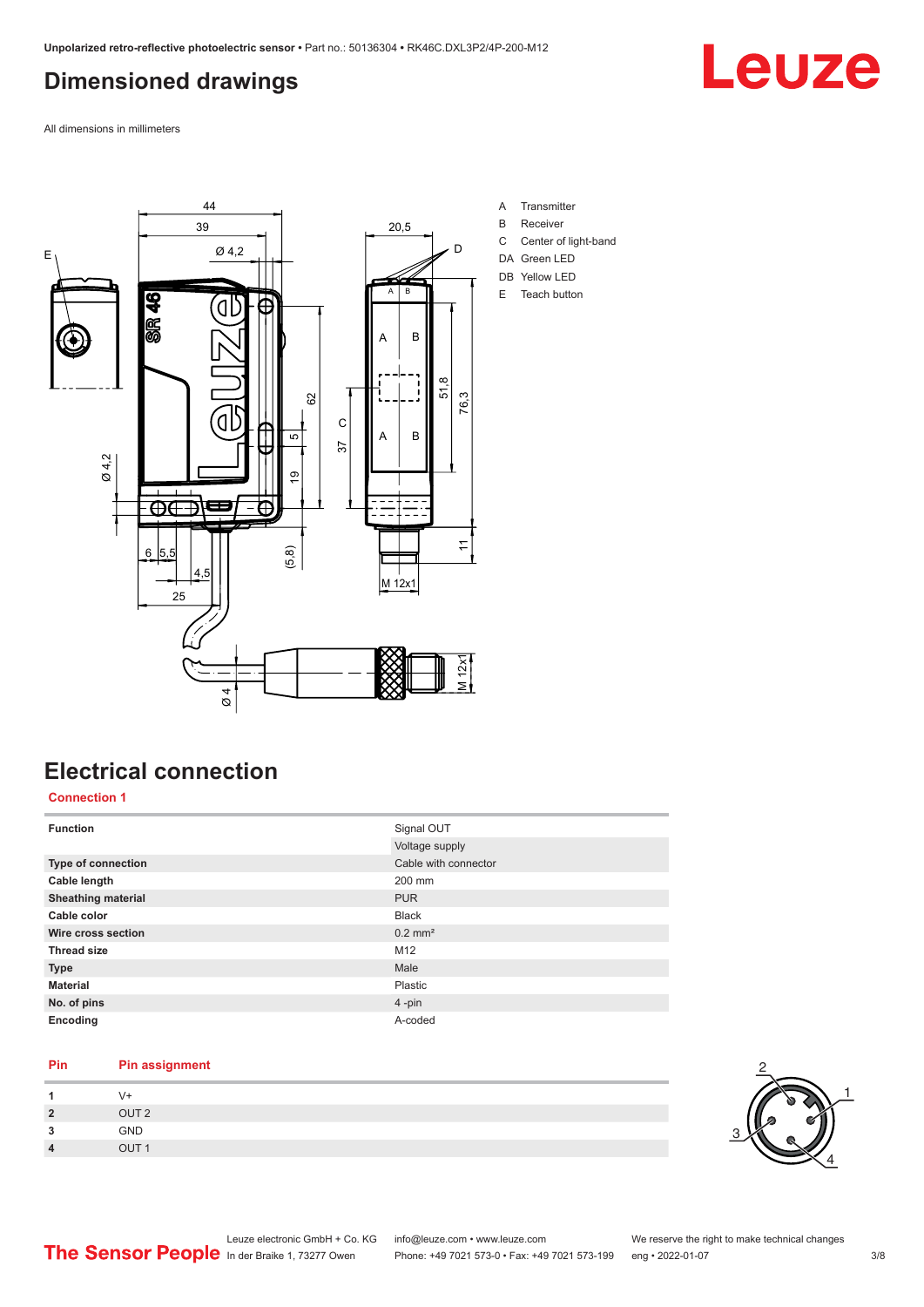## <span id="page-2-0"></span>**Dimensioned drawings**

Leuze

All dimensions in millimeters



- A Transmitter
- B Receiver
- C Center of light-band
- DA Green LED DB Yellow LED
- E Teach button

# **Electrical connection**

#### **Connection 1**

| <b>Function</b>           | Signal OUT            |
|---------------------------|-----------------------|
|                           | Voltage supply        |
| Type of connection        | Cable with connector  |
| Cable length              | 200 mm                |
| <b>Sheathing material</b> | <b>PUR</b>            |
| Cable color               | <b>Black</b>          |
| Wire cross section        | $0.2$ mm <sup>2</sup> |
| <b>Thread size</b>        | M12                   |
| <b>Type</b>               | Male                  |
| <b>Material</b>           | Plastic               |
| No. of pins               | 4-pin                 |
| Encoding                  | A-coded               |

#### **Pin Pin assignment**

|                  | $\sqrt{+}$       |
|------------------|------------------|
| $\overline{2}$   | OUT <sub>2</sub> |
| 2<br>J           | GND              |
| $\boldsymbol{4}$ | OUT <sub>1</sub> |

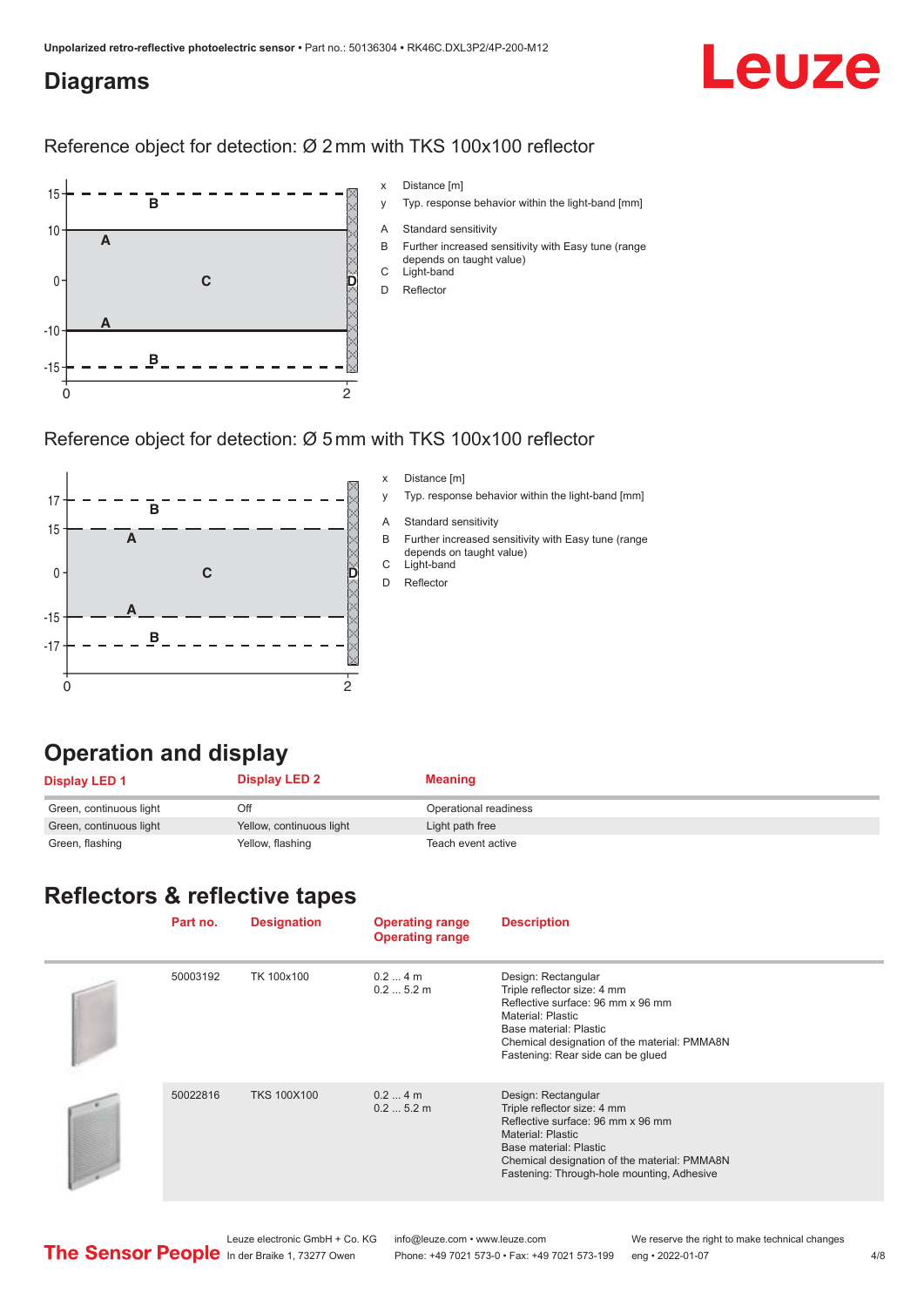#### <span id="page-3-0"></span>**Diagrams**

# Leuze

#### Reference object for detection: Ø 2 mm with TKS 100x100 reflector



#### Reference object for detection: Ø 5 mm with TKS 100x100 reflector



#### x Distance [m]

- y Typ. response behavior within the light-band [mm]
- A Standard sensitivity
- B Further increased sensitivity with Easy tune (range depends on taught value)
- C Light-band
- D Reflector

### **Operation and display**

| <b>Display LED 1</b>    | <b>Display LED 2</b>     | Meaning               |
|-------------------------|--------------------------|-----------------------|
| Green, continuous light | Off                      | Operational readiness |
| Green, continuous light | Yellow, continuous light | Light path free       |
| Green, flashing         | Yellow, flashing         | Teach event active    |

# **Reflectors & reflective tapes**

| Part no. | <b>Designation</b> | <b>Operating range</b><br><b>Operating range</b> | <b>Description</b>                                                                                                                                                                                                                          |
|----------|--------------------|--------------------------------------------------|---------------------------------------------------------------------------------------------------------------------------------------------------------------------------------------------------------------------------------------------|
| 50003192 | TK 100x100         | $0.24$ m<br>0.25.2m                              | Design: Rectangular<br>Triple reflector size: 4 mm<br>Reflective surface: 96 mm x 96 mm<br>Material: Plastic<br>Base material: Plastic<br>Chemical designation of the material: PMMA8N<br>Fastening: Rear side can be glued                 |
| 50022816 | <b>TKS 100X100</b> | $0.24$ m<br>0.25.2m                              | Design: Rectangular<br>Triple reflector size: 4 mm<br>Reflective surface: 96 mm x 96 mm<br><b>Material: Plastic</b><br>Base material: Plastic<br>Chemical designation of the material: PMMA8N<br>Fastening: Through-hole mounting, Adhesive |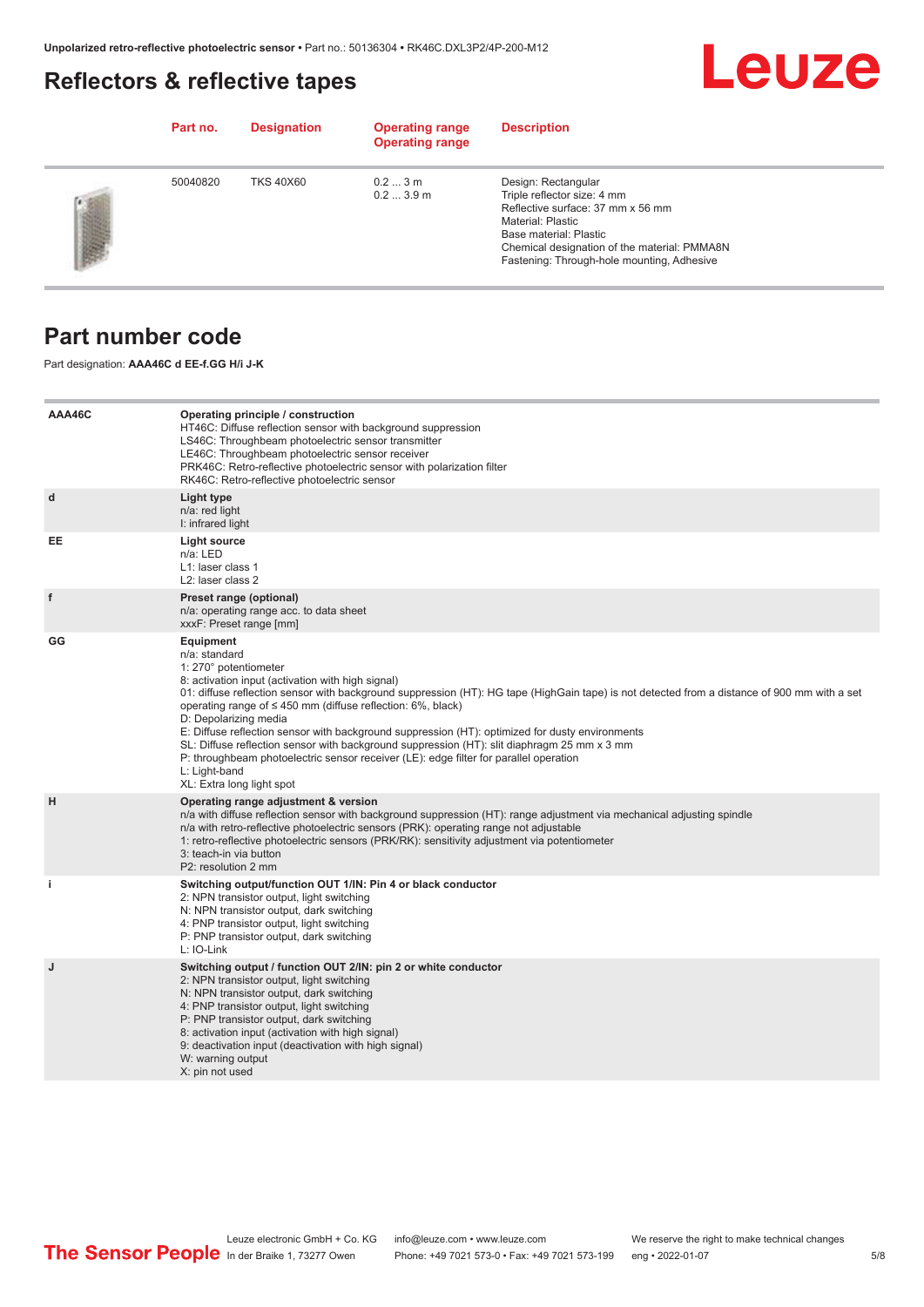### <span id="page-4-0"></span>**Reflectors & reflective tapes**



|                | Part no. | <b>Designation</b> | <b>Operating range</b><br><b>Operating range</b> | <b>Description</b>                                                                                                                                                                                                                   |
|----------------|----------|--------------------|--------------------------------------------------|--------------------------------------------------------------------------------------------------------------------------------------------------------------------------------------------------------------------------------------|
| <b>SERVICE</b> | 50040820 | <b>TKS 40X60</b>   | 0.23m<br>0.23.9m                                 | Design: Rectangular<br>Triple reflector size: 4 mm<br>Reflective surface: 37 mm x 56 mm<br>Material: Plastic<br>Base material: Plastic<br>Chemical designation of the material: PMMA8N<br>Fastening: Through-hole mounting, Adhesive |

#### **Part number code**

Part designation: **AAA46C d EE-f.GG H/i J-K**

| AAA46C | Operating principle / construction<br>HT46C: Diffuse reflection sensor with background suppression<br>LS46C: Throughbeam photoelectric sensor transmitter<br>LE46C: Throughbeam photoelectric sensor receiver<br>PRK46C: Retro-reflective photoelectric sensor with polarization filter<br>RK46C: Retro-reflective photoelectric sensor                                                                                                                                                                                                                                                                                                                                                        |
|--------|------------------------------------------------------------------------------------------------------------------------------------------------------------------------------------------------------------------------------------------------------------------------------------------------------------------------------------------------------------------------------------------------------------------------------------------------------------------------------------------------------------------------------------------------------------------------------------------------------------------------------------------------------------------------------------------------|
| d      | Light type<br>n/a: red light<br>I: infrared light                                                                                                                                                                                                                                                                                                                                                                                                                                                                                                                                                                                                                                              |
| EE     | Light source<br>n/a: LED<br>L1: laser class 1<br>L2: laser class 2                                                                                                                                                                                                                                                                                                                                                                                                                                                                                                                                                                                                                             |
| f      | Preset range (optional)<br>n/a: operating range acc. to data sheet<br>xxxF: Preset range [mm]                                                                                                                                                                                                                                                                                                                                                                                                                                                                                                                                                                                                  |
| GG     | Equipment<br>n/a: standard<br>1: 270° potentiometer<br>8: activation input (activation with high signal)<br>01: diffuse reflection sensor with background suppression (HT): HG tape (HighGain tape) is not detected from a distance of 900 mm with a set<br>operating range of $\leq$ 450 mm (diffuse reflection: 6%, black)<br>D: Depolarizing media<br>E: Diffuse reflection sensor with background suppression (HT): optimized for dusty environments<br>SL: Diffuse reflection sensor with background suppression (HT): slit diaphragm 25 mm x 3 mm<br>P: throughbeam photoelectric sensor receiver (LE): edge filter for parallel operation<br>L: Light-band<br>XL: Extra long light spot |
| н      | Operating range adjustment & version<br>n/a with diffuse reflection sensor with background suppression (HT): range adjustment via mechanical adjusting spindle<br>n/a with retro-reflective photoelectric sensors (PRK): operating range not adjustable<br>1: retro-reflective photoelectric sensors (PRK/RK): sensitivity adjustment via potentiometer<br>3: teach-in via button<br>P2: resolution 2 mm                                                                                                                                                                                                                                                                                       |
| j.     | Switching output/function OUT 1/IN: Pin 4 or black conductor<br>2: NPN transistor output, light switching<br>N: NPN transistor output, dark switching<br>4: PNP transistor output, light switching<br>P: PNP transistor output, dark switching<br>L: IO-Link                                                                                                                                                                                                                                                                                                                                                                                                                                   |
| J      | Switching output / function OUT 2/IN: pin 2 or white conductor<br>2: NPN transistor output, light switching<br>N: NPN transistor output, dark switching<br>4: PNP transistor output, light switching<br>P: PNP transistor output, dark switching<br>8: activation input (activation with high signal)<br>9: deactivation input (deactivation with high signal)<br>W: warning output<br>X: pin not used                                                                                                                                                                                                                                                                                         |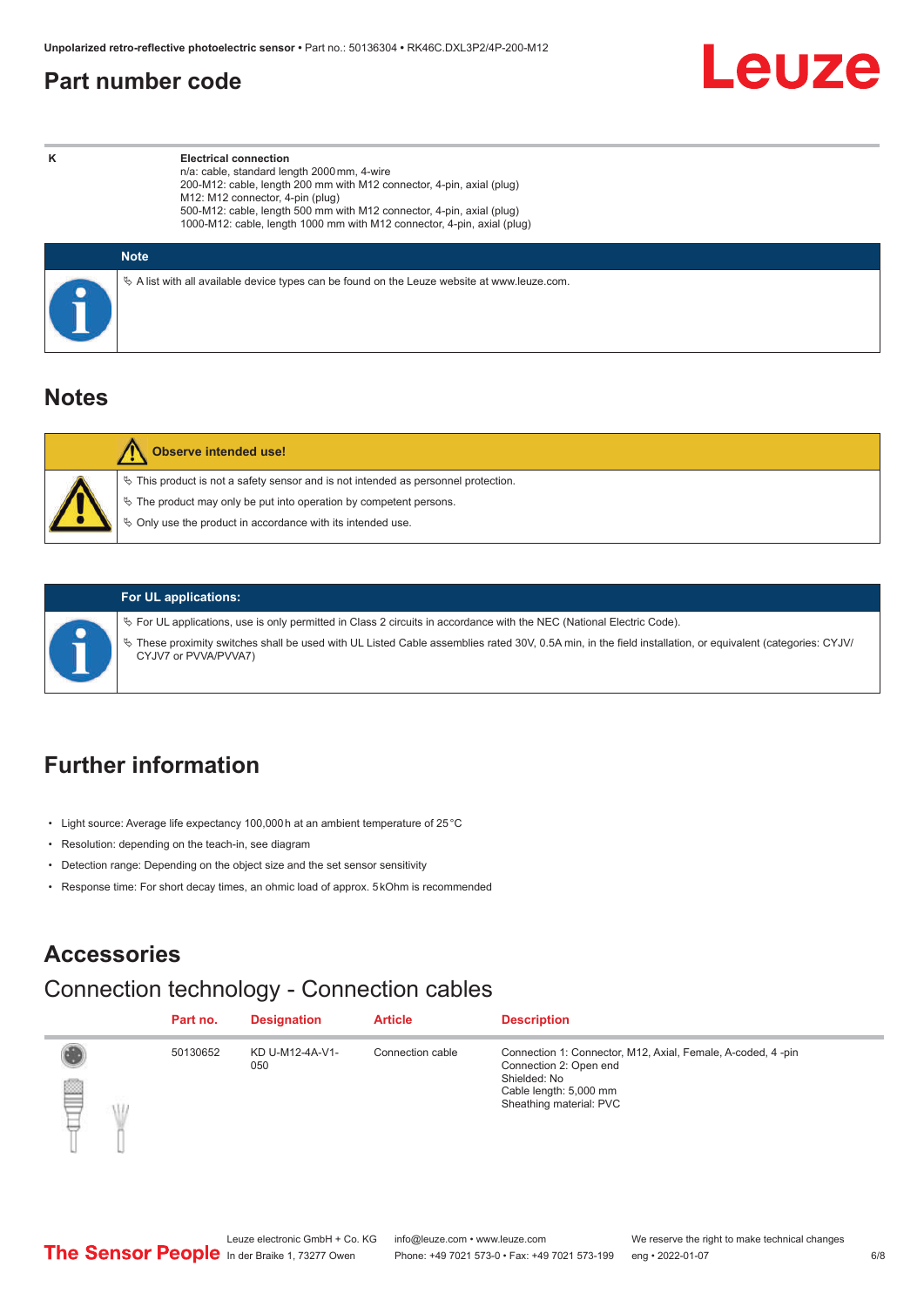#### <span id="page-5-0"></span>**Part number code**



**K Electrical connection** n/a: cable, standard length 2000 mm, 4-wire 200-M12: cable, length 200 mm with M12 connector, 4-pin, axial (plug) M12: M12 connector, 4-pin (plug) 500-M12: cable, length 500 mm with M12 connector, 4-pin, axial (plug) 1000-M12: cable, length 1000 mm with M12 connector, 4-pin, axial (plug)

| <b>Note</b>                                                                                  |
|----------------------------------------------------------------------------------------------|
| ∜ A list with all available device types can be found on the Leuze website at www.leuze.com. |

#### **Notes**

| <b>Observe intended use!</b>                                                                                                                                                                                                     |
|----------------------------------------------------------------------------------------------------------------------------------------------------------------------------------------------------------------------------------|
| $\%$ This product is not a safety sensor and is not intended as personnel protection.<br>$\%$ The product may only be put into operation by competent persons.<br>$\%$ Only use the product in accordance with its intended use. |
|                                                                                                                                                                                                                                  |



#### **For UL applications:**

ª For UL applications, use is only permitted in Class 2 circuits in accordance with the NEC (National Electric Code). ª These proximity switches shall be used with UL Listed Cable assemblies rated 30V, 0.5A min, in the field installation, or equivalent (categories: CYJV/ CYJV7 or PVVA/PVVA7)

#### **Further information**

- Light source: Average life expectancy 100,000 h at an ambient temperature of 25 °C
- Resolution: depending on the teach-in, see diagram
- Detection range: Depending on the object size and the set sensor sensitivity
- Response time: For short decay times, an ohmic load of approx. 5 kOhm is recommended

#### **Accessories**

### Connection technology - Connection cables

|   | Part no. | <b>Designation</b>     | <b>Article</b>   | <b>Description</b>                                                                                                                                         |
|---|----------|------------------------|------------------|------------------------------------------------------------------------------------------------------------------------------------------------------------|
| ▌ | 50130652 | KD U-M12-4A-V1-<br>050 | Connection cable | Connection 1: Connector, M12, Axial, Female, A-coded, 4-pin<br>Connection 2: Open end<br>Shielded: No<br>Cable length: 5,000 mm<br>Sheathing material: PVC |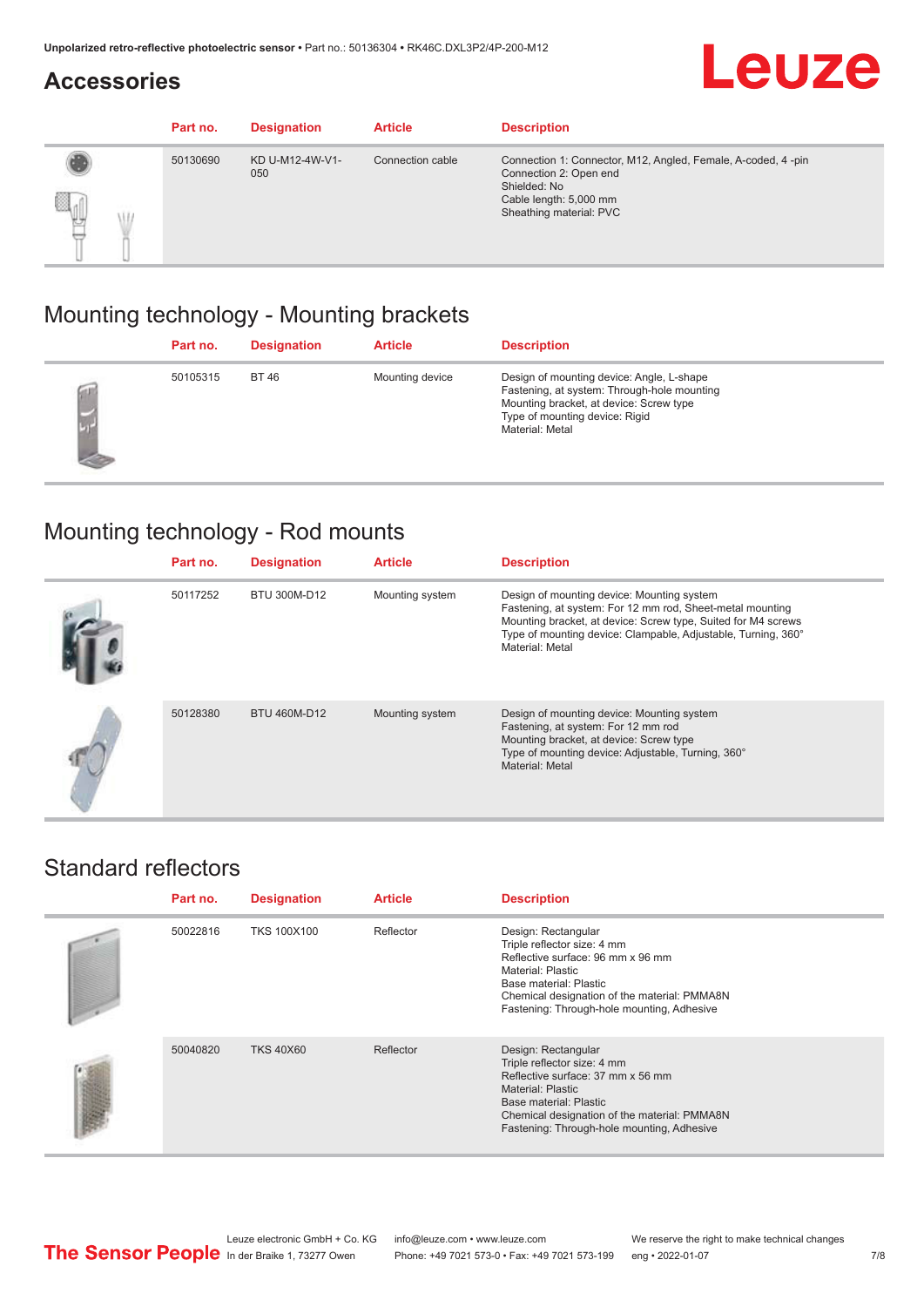## **Accessories**



|                         | Part no. | <b>Designation</b>     | <b>Article</b>   | <b>Description</b>                                                                                                                                          |
|-------------------------|----------|------------------------|------------------|-------------------------------------------------------------------------------------------------------------------------------------------------------------|
| q<br>₩<br><b>Dealer</b> | 50130690 | KD U-M12-4W-V1-<br>050 | Connection cable | Connection 1: Connector, M12, Angled, Female, A-coded, 4-pin<br>Connection 2: Open end<br>Shielded: No<br>Cable length: 5,000 mm<br>Sheathing material: PVC |

## Mounting technology - Mounting brackets

| Part no. | <b>Designation</b> | <b>Article</b>  | <b>Description</b>                                                                                                                                                                       |
|----------|--------------------|-----------------|------------------------------------------------------------------------------------------------------------------------------------------------------------------------------------------|
| 50105315 | <b>BT46</b>        | Mounting device | Design of mounting device: Angle, L-shape<br>Fastening, at system: Through-hole mounting<br>Mounting bracket, at device: Screw type<br>Type of mounting device: Rigid<br>Material: Metal |

## Mounting technology - Rod mounts

| Part no. | <b>Designation</b> | <b>Article</b>  | <b>Description</b>                                                                                                                                                                                                                                           |
|----------|--------------------|-----------------|--------------------------------------------------------------------------------------------------------------------------------------------------------------------------------------------------------------------------------------------------------------|
| 50117252 | BTU 300M-D12       | Mounting system | Design of mounting device: Mounting system<br>Fastening, at system: For 12 mm rod, Sheet-metal mounting<br>Mounting bracket, at device: Screw type, Suited for M4 screws<br>Type of mounting device: Clampable, Adjustable, Turning, 360°<br>Material: Metal |
| 50128380 | BTU 460M-D12       | Mounting system | Design of mounting device: Mounting system<br>Fastening, at system: For 12 mm rod<br>Mounting bracket, at device: Screw type<br>Type of mounting device: Adjustable, Turning, 360°<br>Material: Metal                                                        |

### Standard reflectors

| Part no. | <b>Designation</b> | <b>Article</b> | <b>Description</b>                                                                                                                                                                                                                          |
|----------|--------------------|----------------|---------------------------------------------------------------------------------------------------------------------------------------------------------------------------------------------------------------------------------------------|
| 50022816 | <b>TKS 100X100</b> | Reflector      | Design: Rectangular<br>Triple reflector size: 4 mm<br>Reflective surface: 96 mm x 96 mm<br>Material: Plastic<br>Base material: Plastic<br>Chemical designation of the material: PMMA8N<br>Fastening: Through-hole mounting, Adhesive        |
| 50040820 | <b>TKS 40X60</b>   | Reflector      | Design: Rectangular<br>Triple reflector size: 4 mm<br>Reflective surface: 37 mm x 56 mm<br><b>Material: Plastic</b><br>Base material: Plastic<br>Chemical designation of the material: PMMA8N<br>Fastening: Through-hole mounting, Adhesive |